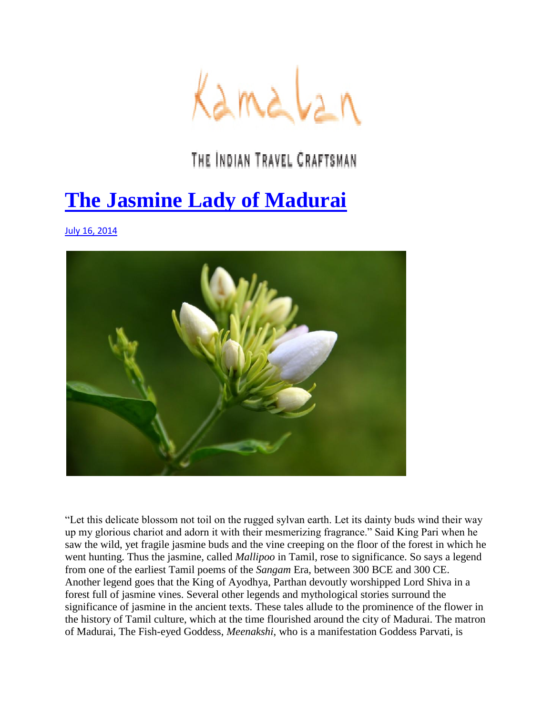

## THE INDIAN TRAVEL CRAFTSMAN

## **[The Jasmine Lady of Madurai](http://www.kamalan.travel/blog/the-jasmine-lady-of-madurai/)**

[July 16, 2014](http://www.kamalan.travel/blog/the-jasmine-lady-of-madurai/)



"Let this delicate blossom not toil on the rugged sylvan earth. Let its dainty buds wind their way up my glorious chariot and adorn it with their mesmerizing fragrance." Said King Pari when he saw the wild, yet fragile jasmine buds and the vine creeping on the floor of the forest in which he went hunting. Thus the jasmine, called *Mallipoo* in Tamil, rose to significance. So says a legend from one of the earliest Tamil poems of the *Sangam* Era, between 300 BCE and 300 CE. Another legend goes that the King of Ayodhya, Parthan devoutly worshipped Lord Shiva in a forest full of jasmine vines. Several other legends and mythological stories surround the significance of jasmine in the ancient texts. These tales allude to the prominence of the flower in the history of Tamil culture, which at the time flourished around the city of Madurai. The matron of Madurai, The Fish-eyed Goddess, *Meenakshi*, who is a manifestation Goddess Parvati, is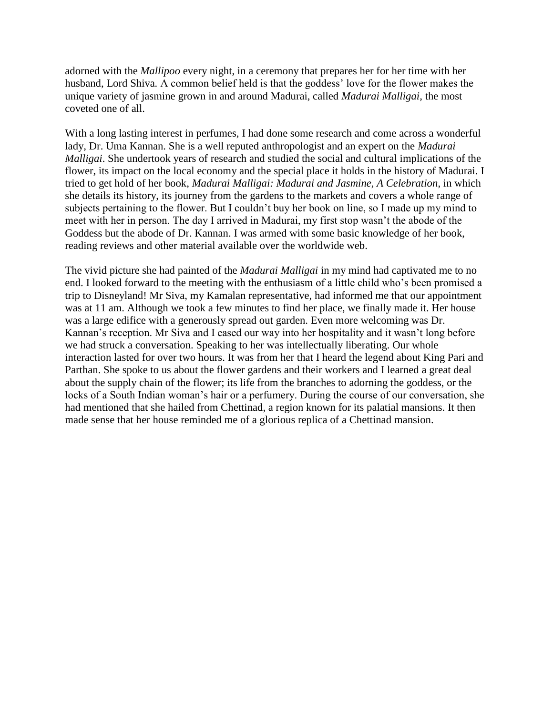adorned with the *Mallipoo* every night, in a ceremony that prepares her for her time with her husband, Lord Shiva*.* A common belief held is that the goddess" love for the flower makes the unique variety of jasmine grown in and around Madurai, called *Madurai Malligai,* the most coveted one of all.

With a long lasting interest in perfumes, I had done some research and come across a wonderful lady, Dr. Uma Kannan. She is a well reputed anthropologist and an expert on the *Madurai Malligai*. She undertook years of research and studied the social and cultural implications of the flower, its impact on the local economy and the special place it holds in the history of Madurai. I tried to get hold of her book, *Madurai Malligai: Madurai and Jasmine, A Celebration*, in which she details its history, its journey from the gardens to the markets and covers a whole range of subjects pertaining to the flower. But I couldn't buy her book on line, so I made up my mind to meet with her in person. The day I arrived in Madurai, my first stop wasn"t the abode of the Goddess but the abode of Dr. Kannan. I was armed with some basic knowledge of her book, reading reviews and other material available over the worldwide web.

The vivid picture she had painted of the *Madurai Malligai* in my mind had captivated me to no end. I looked forward to the meeting with the enthusiasm of a little child who"s been promised a trip to Disneyland! Mr Siva, my Kamalan representative, had informed me that our appointment was at 11 am. Although we took a few minutes to find her place, we finally made it. Her house was a large edifice with a generously spread out garden. Even more welcoming was Dr. Kannan"s reception. Mr Siva and I eased our way into her hospitality and it wasn"t long before we had struck a conversation. Speaking to her was intellectually liberating. Our whole interaction lasted for over two hours. It was from her that I heard the legend about King Pari and Parthan. She spoke to us about the flower gardens and their workers and I learned a great deal about the supply chain of the flower; its life from the branches to adorning the goddess, or the locks of a South Indian woman's hair or a perfumery. During the course of our conversation, she had mentioned that she hailed from Chettinad, a region known for its palatial mansions. It then made sense that her house reminded me of a glorious replica of a Chettinad mansion.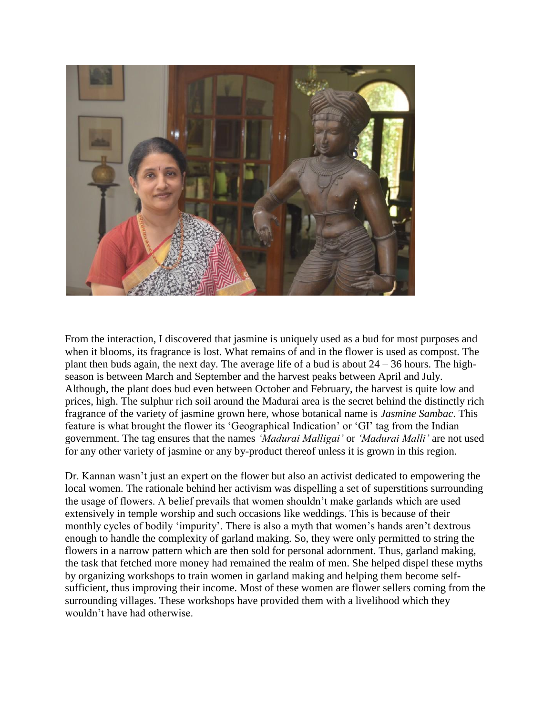

From the interaction, I discovered that jasmine is uniquely used as a bud for most purposes and when it blooms, its fragrance is lost. What remains of and in the flower is used as compost. The plant then buds again, the next day. The average life of a bud is about  $24 - 36$  hours. The highseason is between March and September and the harvest peaks between April and July. Although, the plant does bud even between October and February, the harvest is quite low and prices, high. The sulphur rich soil around the Madurai area is the secret behind the distinctly rich fragrance of the variety of jasmine grown here, whose botanical name is *Jasmine Sambac*. This feature is what brought the flower its "Geographical Indication" or "GI" tag from the Indian government. The tag ensures that the names *'Madurai Malligai'* or *'Madurai Malli'* are not used for any other variety of jasmine or any by-product thereof unless it is grown in this region.

Dr. Kannan wasn"t just an expert on the flower but also an activist dedicated to empowering the local women. The rationale behind her activism was dispelling a set of superstitions surrounding the usage of flowers. A belief prevails that women shouldn"t make garlands which are used extensively in temple worship and such occasions like weddings. This is because of their monthly cycles of bodily 'impurity'. There is also a myth that women's hands aren't dextrous enough to handle the complexity of garland making. So, they were only permitted to string the flowers in a narrow pattern which are then sold for personal adornment. Thus, garland making, the task that fetched more money had remained the realm of men. She helped dispel these myths by organizing workshops to train women in garland making and helping them become selfsufficient, thus improving their income. Most of these women are flower sellers coming from the surrounding villages. These workshops have provided them with a livelihood which they wouldn"t have had otherwise.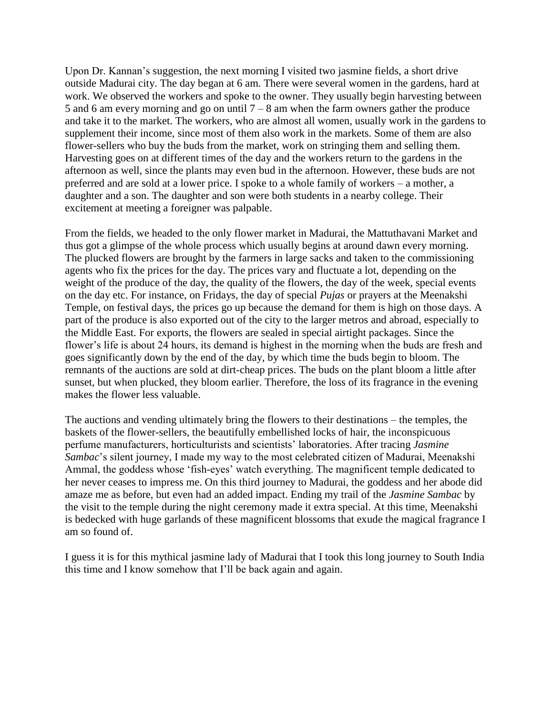Upon Dr. Kannan's suggestion, the next morning I visited two jasmine fields, a short drive outside Madurai city. The day began at 6 am. There were several women in the gardens, hard at work. We observed the workers and spoke to the owner. They usually begin harvesting between 5 and 6 am every morning and go on until  $7 - 8$  am when the farm owners gather the produce and take it to the market. The workers, who are almost all women, usually work in the gardens to supplement their income, since most of them also work in the markets. Some of them are also flower-sellers who buy the buds from the market, work on stringing them and selling them. Harvesting goes on at different times of the day and the workers return to the gardens in the afternoon as well, since the plants may even bud in the afternoon. However, these buds are not preferred and are sold at a lower price. I spoke to a whole family of workers – a mother, a daughter and a son. The daughter and son were both students in a nearby college. Their excitement at meeting a foreigner was palpable.

From the fields, we headed to the only flower market in Madurai, the Mattuthavani Market and thus got a glimpse of the whole process which usually begins at around dawn every morning. The plucked flowers are brought by the farmers in large sacks and taken to the commissioning agents who fix the prices for the day. The prices vary and fluctuate a lot, depending on the weight of the produce of the day, the quality of the flowers, the day of the week, special events on the day etc. For instance, on Fridays, the day of special *Pujas* or prayers at the Meenakshi Temple, on festival days, the prices go up because the demand for them is high on those days. A part of the produce is also exported out of the city to the larger metros and abroad, especially to the Middle East. For exports, the flowers are sealed in special airtight packages. Since the flower"s life is about 24 hours, its demand is highest in the morning when the buds are fresh and goes significantly down by the end of the day, by which time the buds begin to bloom. The remnants of the auctions are sold at dirt-cheap prices. The buds on the plant bloom a little after sunset, but when plucked, they bloom earlier. Therefore, the loss of its fragrance in the evening makes the flower less valuable.

The auctions and vending ultimately bring the flowers to their destinations – the temples, the baskets of the flower-sellers, the beautifully embellished locks of hair, the inconspicuous perfume manufacturers, horticulturists and scientists" laboratories. After tracing *Jasmine Sambac*"s silent journey, I made my way to the most celebrated citizen of Madurai, Meenakshi Ammal, the goddess whose "fish-eyes" watch everything. The magnificent temple dedicated to her never ceases to impress me. On this third journey to Madurai, the goddess and her abode did amaze me as before, but even had an added impact. Ending my trail of the *Jasmine Sambac* by the visit to the temple during the night ceremony made it extra special. At this time, Meenakshi is bedecked with huge garlands of these magnificent blossoms that exude the magical fragrance I am so found of.

I guess it is for this mythical jasmine lady of Madurai that I took this long journey to South India this time and I know somehow that I"ll be back again and again.